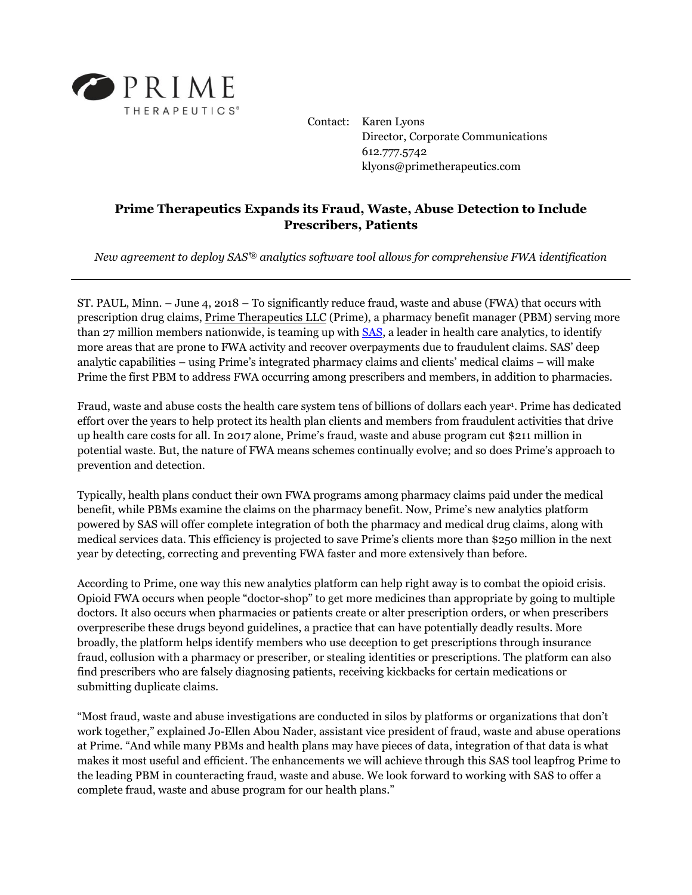

Contact: Karen Lyons Director, Corporate Communications 612.777.5742 klyons@primetherapeutics.com

## **Prime Therapeutics Expands its Fraud, Waste, Abuse Detection to Include Prescribers, Patients**

*New agreement to deploy SAS'® analytics software tool allows for comprehensive FWA identification*

ST. PAUL, Minn. – June 4, 2018 – To significantly reduce fraud, waste and abuse (FWA) that occurs with prescription drug claims, [Prime Therapeutics LLC](http://www.primetherapeutics.com/) (Prime), a pharmacy benefit manager (PBM) serving more than 27 million members nationwide, is teaming up with [SAS,](https://www.sas.com/en_us/insights/health-analytics.html) a leader in health care analytics, to identify more areas that are prone to FWA activity and recover overpayments due to fraudulent claims. SAS' deep analytic capabilities – using Prime's integrated pharmacy claims and clients' medical claims – will make Prime the first PBM to address FWA occurring among prescribers and members, in addition to pharmacies.

Fraud, waste and abuse costs the health care system tens of billions of dollars each year<sup>1</sup>. Prime has dedicated effort over the years to help protect its health plan clients and members from fraudulent activities that drive up health care costs for all. In 2017 alone, Prime's fraud, waste and abuse program cut \$211 million in potential waste. But, the nature of FWA means schemes continually evolve; and so does Prime's approach to prevention and detection.

Typically, health plans conduct their own FWA programs among pharmacy claims paid under the medical benefit, while PBMs examine the claims on the pharmacy benefit. Now, Prime's new analytics platform powered by SAS will offer complete integration of both the pharmacy and medical drug claims, along with medical services data. This efficiency is projected to save Prime's clients more than \$250 million in the next year by detecting, correcting and preventing FWA faster and more extensively than before.

According to Prime, one way this new analytics platform can help right away is to combat the opioid crisis. Opioid FWA occurs when people "doctor-shop" to get more medicines than appropriate by going to multiple doctors. It also occurs when pharmacies or patients create or alter prescription orders, or when prescribers overprescribe these drugs beyond guidelines, a practice that can have potentially deadly results. More broadly, the platform helps identify members who use deception to get prescriptions through insurance fraud, collusion with a pharmacy or prescriber, or stealing identities or prescriptions. The platform can also find prescribers who are falsely diagnosing patients, receiving kickbacks for certain medications or submitting duplicate claims.

"Most fraud, waste and abuse investigations are conducted in silos by platforms or organizations that don't work together," explained Jo-Ellen Abou Nader, assistant vice president of fraud, waste and abuse operations at Prime. "And while many PBMs and health plans may have pieces of data, integration of that data is what makes it most useful and efficient. The enhancements we will achieve through this SAS tool leapfrog Prime to the leading PBM in counteracting fraud, waste and abuse. We look forward to working with SAS to offer a complete fraud, waste and abuse program for our health plans."